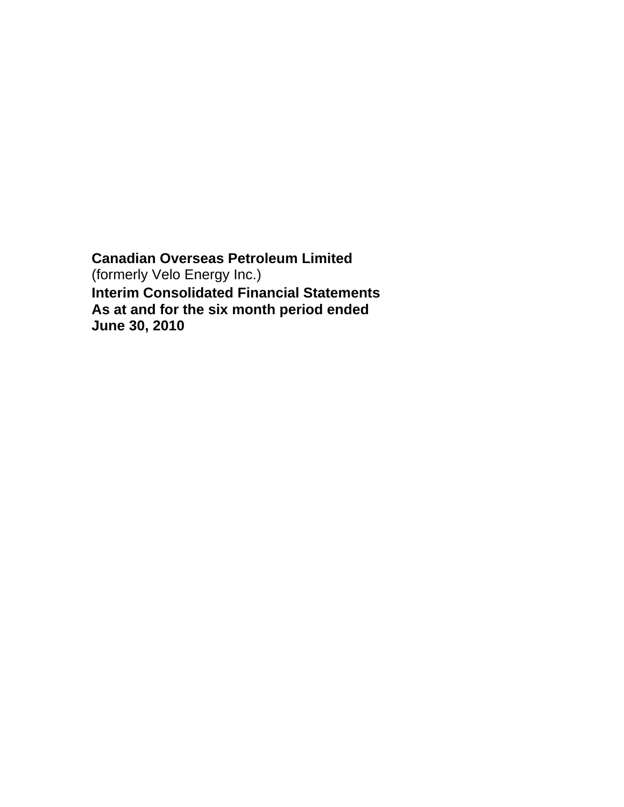**Canadian Overseas Petroleum Limited**  (formerly Velo Energy Inc.) **Interim Consolidated Financial Statements As at and for the six month period ended June 30, 2010**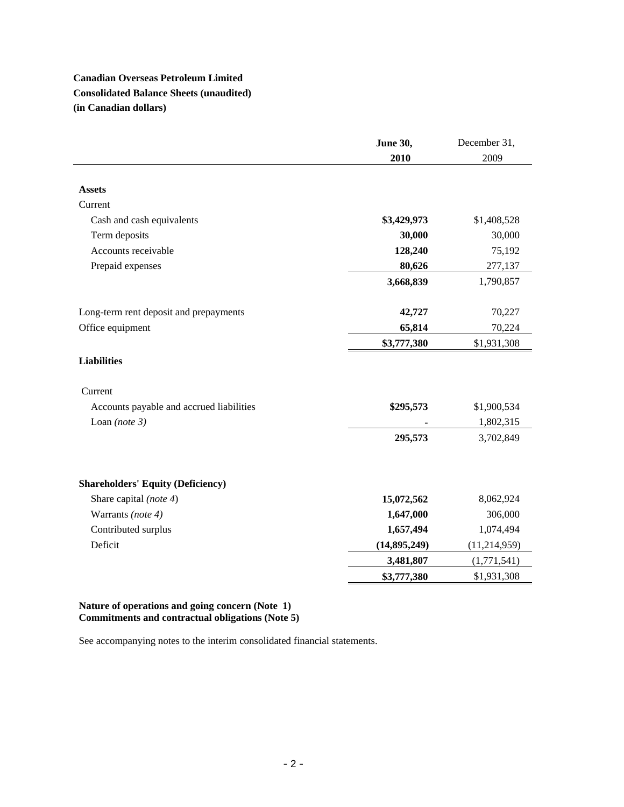# **Canadian Overseas Petroleum Limited Consolidated Balance Sheets (unaudited) (in Canadian dollars)**

|                                          | <b>June 30,</b> | December 31,   |
|------------------------------------------|-----------------|----------------|
|                                          | 2010            | 2009           |
|                                          |                 |                |
| <b>Assets</b>                            |                 |                |
| Current                                  |                 |                |
| Cash and cash equivalents                | \$3,429,973     | \$1,408,528    |
| Term deposits                            | 30,000          | 30,000         |
| Accounts receivable                      | 128,240         | 75,192         |
| Prepaid expenses                         | 80,626          | 277,137        |
|                                          | 3,668,839       | 1,790,857      |
|                                          |                 |                |
| Long-term rent deposit and prepayments   | 42,727          | 70,227         |
| Office equipment                         | 65,814          | 70,224         |
|                                          | \$3,777,380     | \$1,931,308    |
| <b>Liabilities</b>                       |                 |                |
|                                          |                 |                |
| Current                                  |                 |                |
| Accounts payable and accrued liabilities | \$295,573       | \$1,900,534    |
| Loan (note $3$ )                         |                 | 1,802,315      |
|                                          | 295,573         | 3,702,849      |
|                                          |                 |                |
| <b>Shareholders' Equity (Deficiency)</b> |                 |                |
| Share capital (note 4)                   | 15,072,562      | 8,062,924      |
| Warrants (note 4)                        | 1,647,000       | 306,000        |
| Contributed surplus                      | 1,657,494       | 1,074,494      |
| Deficit                                  | (14, 895, 249)  | (11, 214, 959) |
|                                          | 3,481,807       | (1,771,541)    |
|                                          | \$3,777,380     | \$1,931,308    |

## **Nature of operations and going concern (Note 1) Commitments and contractual obligations (Note 5)**

See accompanying notes to the interim consolidated financial statements.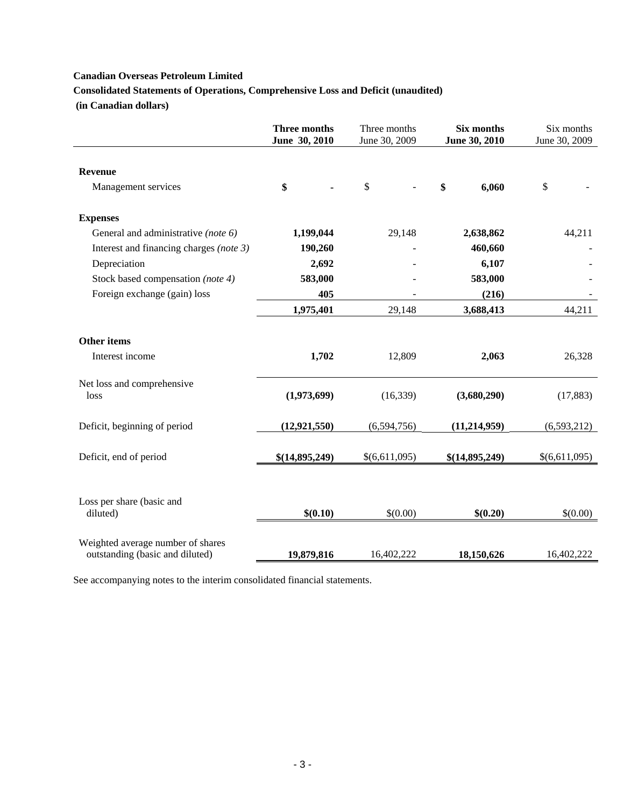**Consolidated Statements of Operations, Comprehensive Loss and Deficit (unaudited)** 

 **(in Canadian dollars)** 

|                                         | <b>Three months</b><br>Three months<br>June 30, 2010<br>June 30, 2009 |               | <b>Six months</b><br>June 30, 2010 | Six months<br>June 30, 2009 |  |
|-----------------------------------------|-----------------------------------------------------------------------|---------------|------------------------------------|-----------------------------|--|
| <b>Revenue</b>                          |                                                                       |               |                                    |                             |  |
| Management services                     | \$                                                                    | \$            | \$<br>6,060                        | \$                          |  |
| <b>Expenses</b>                         |                                                                       |               |                                    |                             |  |
| General and administrative (note 6)     | 1,199,044                                                             | 29,148        | 2,638,862                          | 44,211                      |  |
| Interest and financing charges (note 3) | 190,260                                                               |               | 460,660                            |                             |  |
| Depreciation                            | 2,692                                                                 |               | 6,107                              |                             |  |
| Stock based compensation (note 4)       | 583,000                                                               |               | 583,000                            |                             |  |
| Foreign exchange (gain) loss            | 405                                                                   |               | (216)                              |                             |  |
|                                         | 1,975,401                                                             | 29,148        | 3,688,413                          | 44,211                      |  |
| <b>Other items</b>                      |                                                                       |               |                                    |                             |  |
| Interest income                         | 1,702                                                                 | 12,809        | 2,063                              | 26,328                      |  |
| Net loss and comprehensive              |                                                                       |               |                                    |                             |  |
| loss                                    | (1,973,699)                                                           | (16, 339)     | (3,680,290)                        | (17, 883)                   |  |
| Deficit, beginning of period            | (12, 921, 550)                                                        | (6,594,756)   | (11, 214, 959)                     | (6,593,212)                 |  |
|                                         |                                                                       |               |                                    |                             |  |
| Deficit, end of period                  | \$(14,895,249)                                                        | \$(6,611,095) | \$(14,895,249)                     | \$(6,611,095)               |  |
| Loss per share (basic and               |                                                                       |               |                                    |                             |  |
| diluted)                                | \$(0.10)                                                              | \$(0.00)      | \$(0.20)                           | \$(0.00)                    |  |
| Weighted average number of shares       |                                                                       |               |                                    |                             |  |
| outstanding (basic and diluted)         | 19,879,816                                                            | 16,402,222    | 18,150,626                         | 16,402,222                  |  |

See accompanying notes to the interim consolidated financial statements.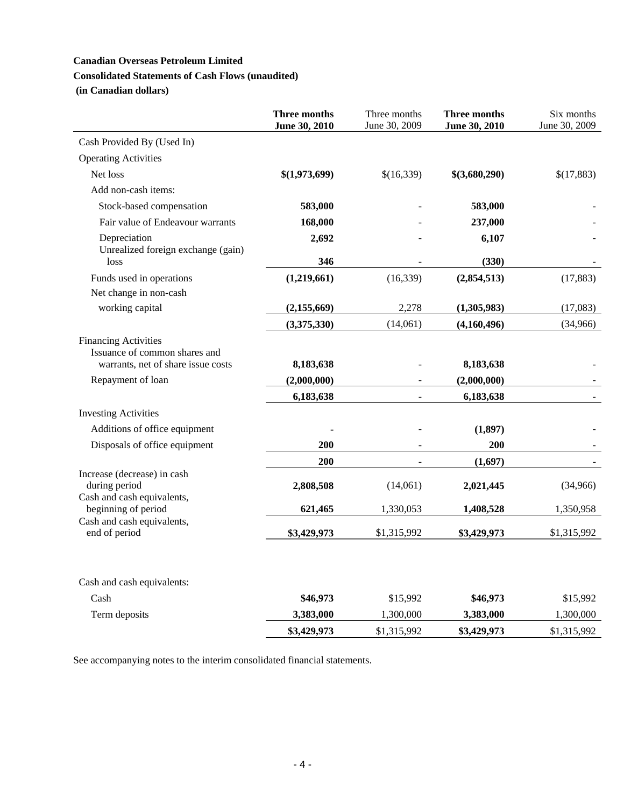## **Consolidated Statements of Cash Flows (unaudited)**

 **(in Canadian dollars)** 

|                                                                                                    | <b>Three months</b><br>June 30, 2010 | Three months<br>June 30, 2009 | Three months<br>June 30, 2010 | Six months<br>June 30, 2009 |
|----------------------------------------------------------------------------------------------------|--------------------------------------|-------------------------------|-------------------------------|-----------------------------|
| Cash Provided By (Used In)                                                                         |                                      |                               |                               |                             |
| <b>Operating Activities</b>                                                                        |                                      |                               |                               |                             |
| Net loss                                                                                           | \$(1,973,699)                        | \$(16,339)                    | \$(3,680,290)                 | \$(17,883)                  |
| Add non-cash items:                                                                                |                                      |                               |                               |                             |
| Stock-based compensation                                                                           | 583,000                              |                               | 583,000                       |                             |
| Fair value of Endeavour warrants                                                                   | 168,000                              |                               | 237,000                       |                             |
| Depreciation<br>Unrealized foreign exchange (gain)                                                 | 2,692                                |                               | 6,107                         |                             |
| loss                                                                                               | 346                                  |                               | (330)                         |                             |
| Funds used in operations                                                                           | (1,219,661)                          | (16, 339)                     | (2,854,513)                   | (17, 883)                   |
| Net change in non-cash<br>working capital                                                          | (2, 155, 669)                        | 2,278                         | (1,305,983)                   | (17,083)                    |
|                                                                                                    | (3,375,330)                          | (14,061)                      | (4,160,496)                   | (34,966)                    |
| <b>Financing Activities</b><br>Issuance of common shares and<br>warrants, net of share issue costs | 8,183,638                            |                               | 8,183,638                     |                             |
| Repayment of loan                                                                                  | (2,000,000)                          |                               | (2,000,000)                   |                             |
|                                                                                                    | 6,183,638                            |                               | 6,183,638                     |                             |
| <b>Investing Activities</b>                                                                        |                                      |                               |                               |                             |
| Additions of office equipment                                                                      |                                      |                               | (1, 897)                      |                             |
| Disposals of office equipment                                                                      | 200                                  |                               | 200                           |                             |
|                                                                                                    | 200                                  |                               | (1,697)                       |                             |
| Increase (decrease) in cash<br>during period<br>Cash and cash equivalents,                         | 2,808,508                            | (14,061)                      | 2,021,445                     | (34,966)                    |
| beginning of period                                                                                | 621,465                              | 1,330,053                     | 1,408,528                     | 1,350,958                   |
| Cash and cash equivalents,<br>end of period                                                        | \$3,429,973                          | \$1,315,992                   | \$3,429,973                   | \$1,315,992                 |
| Cash and cash equivalents:                                                                         |                                      |                               |                               |                             |
| Cash                                                                                               | \$46,973                             | \$15,992                      | \$46,973                      | \$15,992                    |
| Term deposits                                                                                      | 3,383,000                            | 1,300,000                     | 3,383,000                     | 1,300,000                   |
|                                                                                                    | \$3,429,973                          | \$1,315,992                   | \$3,429,973                   | \$1,315,992                 |

See accompanying notes to the interim consolidated financial statements.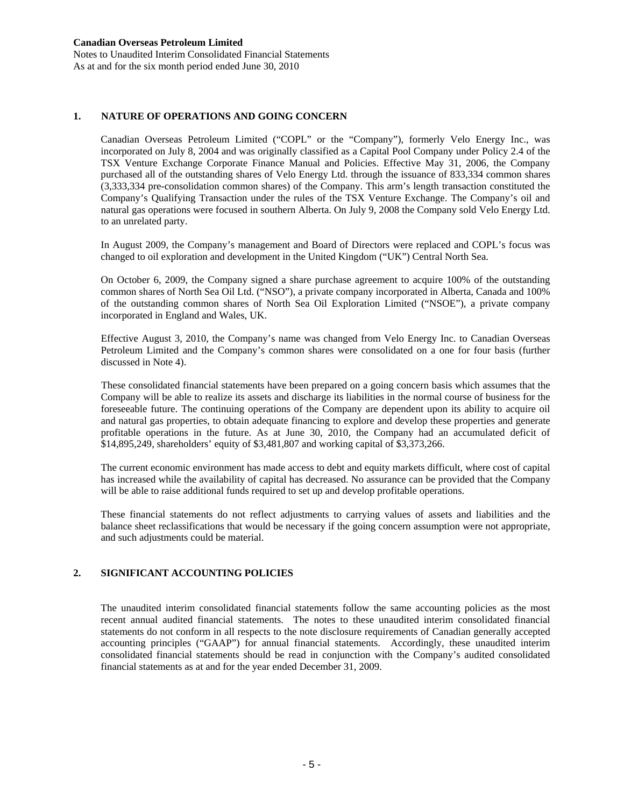Notes to Unaudited Interim Consolidated Financial Statements As at and for the six month period ended June 30, 2010

### **1. NATURE OF OPERATIONS AND GOING CONCERN**

Canadian Overseas Petroleum Limited ("COPL" or the "Company"), formerly Velo Energy Inc., was incorporated on July 8, 2004 and was originally classified as a Capital Pool Company under Policy 2.4 of the TSX Venture Exchange Corporate Finance Manual and Policies. Effective May 31, 2006, the Company purchased all of the outstanding shares of Velo Energy Ltd. through the issuance of 833,334 common shares (3,333,334 pre-consolidation common shares) of the Company. This arm's length transaction constituted the Company's Qualifying Transaction under the rules of the TSX Venture Exchange. The Company's oil and natural gas operations were focused in southern Alberta. On July 9, 2008 the Company sold Velo Energy Ltd. to an unrelated party.

In August 2009, the Company's management and Board of Directors were replaced and COPL's focus was changed to oil exploration and development in the United Kingdom ("UK") Central North Sea.

On October 6, 2009, the Company signed a share purchase agreement to acquire 100% of the outstanding common shares of North Sea Oil Ltd. ("NSO"), a private company incorporated in Alberta, Canada and 100% of the outstanding common shares of North Sea Oil Exploration Limited ("NSOE"), a private company incorporated in England and Wales, UK.

Effective August 3, 2010, the Company's name was changed from Velo Energy Inc. to Canadian Overseas Petroleum Limited and the Company's common shares were consolidated on a one for four basis (further discussed in Note 4).

 These consolidated financial statements have been prepared on a going concern basis which assumes that the Company will be able to realize its assets and discharge its liabilities in the normal course of business for the foreseeable future. The continuing operations of the Company are dependent upon its ability to acquire oil and natural gas properties, to obtain adequate financing to explore and develop these properties and generate profitable operations in the future. As at June 30, 2010, the Company had an accumulated deficit of \$14,895,249, shareholders' equity of \$3,481,807 and working capital of \$3,373,266.

The current economic environment has made access to debt and equity markets difficult, where cost of capital has increased while the availability of capital has decreased. No assurance can be provided that the Company will be able to raise additional funds required to set up and develop profitable operations.

 These financial statements do not reflect adjustments to carrying values of assets and liabilities and the balance sheet reclassifications that would be necessary if the going concern assumption were not appropriate, and such adjustments could be material.

### **2. SIGNIFICANT ACCOUNTING POLICIES**

 The unaudited interim consolidated financial statements follow the same accounting policies as the most recent annual audited financial statements. The notes to these unaudited interim consolidated financial statements do not conform in all respects to the note disclosure requirements of Canadian generally accepted accounting principles ("GAAP") for annual financial statements. Accordingly, these unaudited interim consolidated financial statements should be read in conjunction with the Company's audited consolidated financial statements as at and for the year ended December 31, 2009.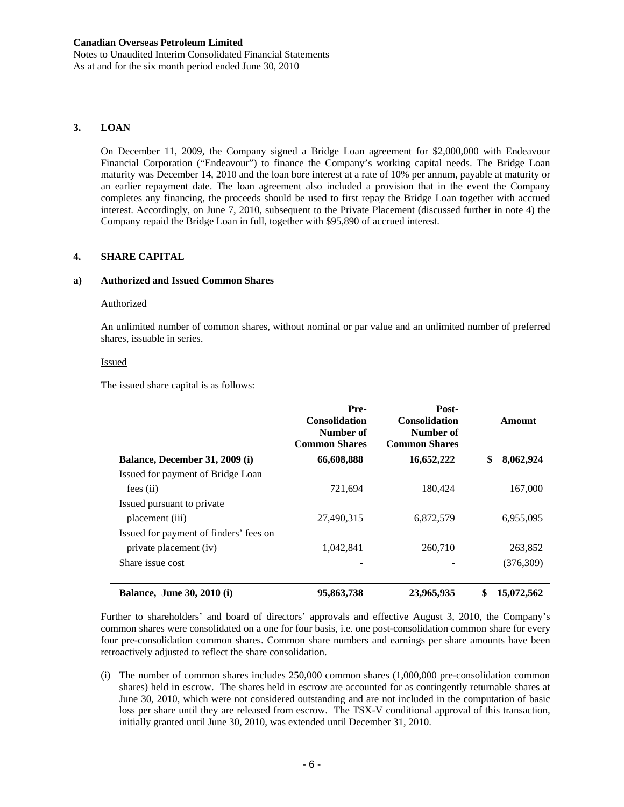Notes to Unaudited Interim Consolidated Financial Statements As at and for the six month period ended June 30, 2010

### **3. LOAN**

On December 11, 2009, the Company signed a Bridge Loan agreement for \$2,000,000 with Endeavour Financial Corporation ("Endeavour") to finance the Company's working capital needs. The Bridge Loan maturity was December 14, 2010 and the loan bore interest at a rate of 10% per annum, payable at maturity or an earlier repayment date. The loan agreement also included a provision that in the event the Company completes any financing, the proceeds should be used to first repay the Bridge Loan together with accrued interest. Accordingly, on June 7, 2010, subsequent to the Private Placement (discussed further in note 4) the Company repaid the Bridge Loan in full, together with \$95,890 of accrued interest.

#### **4. SHARE CAPITAL**

#### **a) Authorized and Issued Common Shares**

#### Authorized

An unlimited number of common shares, without nominal or par value and an unlimited number of preferred shares, issuable in series.

#### Issued

The issued share capital is as follows:

|                                        | Pre-<br><b>Consolidation</b><br>Number of<br><b>Common Shares</b> | Post-<br><b>Consolidation</b><br>Number of<br><b>Common Shares</b> | Amount           |
|----------------------------------------|-------------------------------------------------------------------|--------------------------------------------------------------------|------------------|
| Balance, December 31, 2009 (i)         | 66,608,888                                                        | 16,652,222                                                         | \$<br>8,062,924  |
| Issued for payment of Bridge Loan      |                                                                   |                                                                    |                  |
| fees(i)                                | 721,694                                                           | 180,424                                                            | 167,000          |
| Issued pursuant to private             |                                                                   |                                                                    |                  |
| placement (iii)                        | 27,490,315                                                        | 6,872,579                                                          | 6,955,095        |
| Issued for payment of finders' fees on |                                                                   |                                                                    |                  |
| private placement (iv)                 | 1.042.841                                                         | 260,710                                                            | 263,852          |
| Share issue cost                       |                                                                   |                                                                    | (376, 309)       |
| <b>Balance, June 30, 2010 (i)</b>      | 95,863,738                                                        | 23,965,935                                                         | 15,072,562<br>\$ |

Further to shareholders' and board of directors' approvals and effective August 3, 2010, the Company's common shares were consolidated on a one for four basis, i.e. one post-consolidation common share for every four pre-consolidation common shares. Common share numbers and earnings per share amounts have been retroactively adjusted to reflect the share consolidation.

(i) The number of common shares includes 250,000 common shares (1,000,000 pre-consolidation common shares) held in escrow. The shares held in escrow are accounted for as contingently returnable shares at June 30, 2010, which were not considered outstanding and are not included in the computation of basic loss per share until they are released from escrow. The TSX-V conditional approval of this transaction, initially granted until June 30, 2010, was extended until December 31, 2010.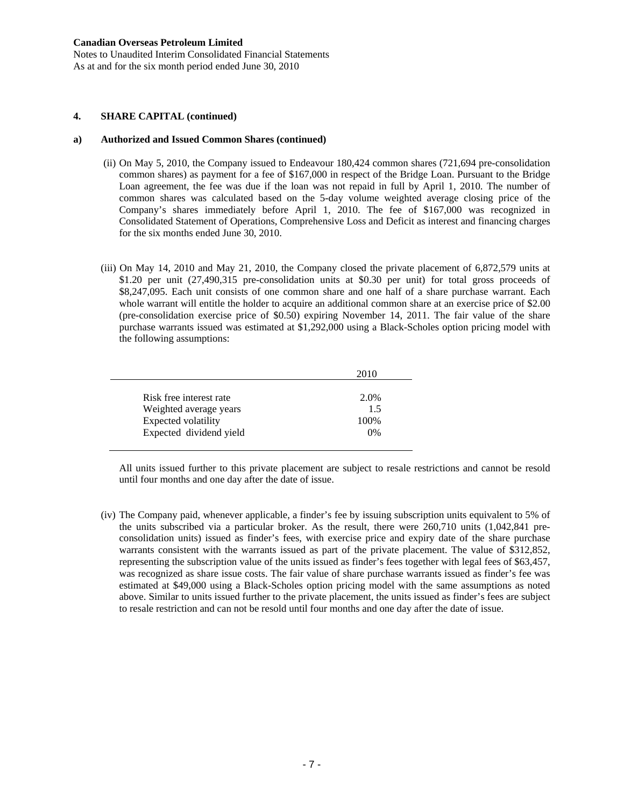Notes to Unaudited Interim Consolidated Financial Statements As at and for the six month period ended June 30, 2010

#### **4. SHARE CAPITAL (continued)**

#### **a) Authorized and Issued Common Shares (continued)**

- (ii) On May 5, 2010, the Company issued to Endeavour 180,424 common shares (721,694 pre-consolidation common shares) as payment for a fee of \$167,000 in respect of the Bridge Loan. Pursuant to the Bridge Loan agreement, the fee was due if the loan was not repaid in full by April 1, 2010. The number of common shares was calculated based on the 5-day volume weighted average closing price of the Company's shares immediately before April 1, 2010. The fee of \$167,000 was recognized in Consolidated Statement of Operations, Comprehensive Loss and Deficit as interest and financing charges for the six months ended June 30, 2010.
- (iii) On May 14, 2010 and May 21, 2010, the Company closed the private placement of 6,872,579 units at \$1.20 per unit (27,490,315 pre-consolidation units at \$0.30 per unit) for total gross proceeds of \$8,247,095. Each unit consists of one common share and one half of a share purchase warrant. Each whole warrant will entitle the holder to acquire an additional common share at an exercise price of \$2.00 (pre-consolidation exercise price of \$0.50) expiring November 14, 2011. The fair value of the share purchase warrants issued was estimated at \$1,292,000 using a Black-Scholes option pricing model with the following assumptions:

|                         | 2010 |
|-------------------------|------|
|                         |      |
| Risk free interest rate | 2.0% |
| Weighted average years  | 1.5  |
| Expected volatility     | 100% |
| Expected dividend yield | 0%   |

All units issued further to this private placement are subject to resale restrictions and cannot be resold until four months and one day after the date of issue.

(iv) The Company paid, whenever applicable, a finder's fee by issuing subscription units equivalent to 5% of the units subscribed via a particular broker. As the result, there were 260,710 units (1,042,841 preconsolidation units) issued as finder's fees, with exercise price and expiry date of the share purchase warrants consistent with the warrants issued as part of the private placement. The value of \$312,852, representing the subscription value of the units issued as finder's fees together with legal fees of \$63,457, was recognized as share issue costs. The fair value of share purchase warrants issued as finder's fee was estimated at \$49,000 using a Black-Scholes option pricing model with the same assumptions as noted above. Similar to units issued further to the private placement, the units issued as finder's fees are subject to resale restriction and can not be resold until four months and one day after the date of issue.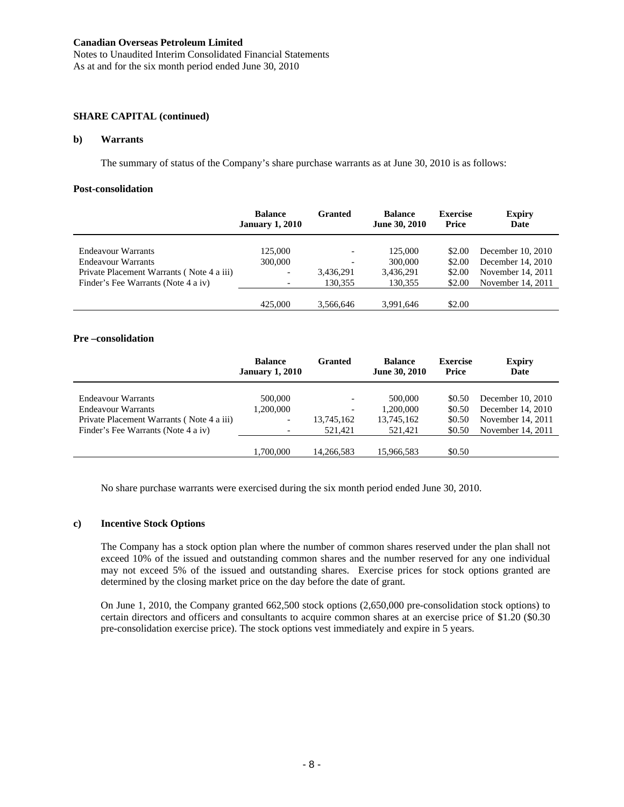Notes to Unaudited Interim Consolidated Financial Statements As at and for the six month period ended June 30, 2010

### **SHARE CAPITAL (continued)**

#### **b) Warrants**

The summary of status of the Company's share purchase warrants as at June 30, 2010 is as follows:

#### **Post-consolidation**

|                                           | <b>Balance</b><br><b>January 1, 2010</b> | Granted   | <b>Balance</b><br>June 30, 2010 | <b>Exercise</b><br>Price | <b>Expiry</b><br>Date |
|-------------------------------------------|------------------------------------------|-----------|---------------------------------|--------------------------|-----------------------|
| Endeavour Warrants                        | 125,000                                  |           | 125,000                         | \$2.00                   | December $10, 2010$   |
| Endeavour Warrants                        | 300,000                                  |           | 300,000                         | \$2.00                   | December 14, 2010     |
| Private Placement Warrants (Note 4 a iii) | $\overline{\phantom{0}}$                 | 3,436,291 | 3,436,291                       | \$2.00                   | November 14, 2011     |
| Finder's Fee Warrants (Note 4 a iv)       | $\overline{\phantom{a}}$                 | 130,355   | 130.355                         | \$2.00                   | November 14, 2011     |
|                                           | 425,000                                  | 3.566.646 | 3.991.646                       | \$2.00                   |                       |

#### **Pre –consolidation**

|                                                                                                                              | <b>Balance</b><br><b>January 1, 2010</b>         | Granted                                                                       | <b>Balance</b><br>June 30, 2010               | <b>Exercise</b><br>Price             | <b>Expiry</b><br>Date                                                              |
|------------------------------------------------------------------------------------------------------------------------------|--------------------------------------------------|-------------------------------------------------------------------------------|-----------------------------------------------|--------------------------------------|------------------------------------------------------------------------------------|
| Endeavour Warrants<br>Endeavour Warrants<br>Private Placement Warrants (Note 4 a iii)<br>Finder's Fee Warrants (Note 4 a iv) | 500,000<br>1,200,000<br>$\overline{\phantom{0}}$ | $\overline{\phantom{a}}$<br>$\overline{\phantom{0}}$<br>13,745,162<br>521.421 | 500,000<br>1,200,000<br>13,745,162<br>521.421 | \$0.50<br>\$0.50<br>\$0.50<br>\$0.50 | December $10, 2010$<br>December 14, 2010<br>November 14, 2011<br>November 14, 2011 |
|                                                                                                                              | 1,700,000                                        | 14.266.583                                                                    | 15,966,583                                    | \$0.50                               |                                                                                    |

No share purchase warrants were exercised during the six month period ended June 30, 2010.

### **c) Incentive Stock Options**

The Company has a stock option plan where the number of common shares reserved under the plan shall not exceed 10% of the issued and outstanding common shares and the number reserved for any one individual may not exceed 5% of the issued and outstanding shares. Exercise prices for stock options granted are determined by the closing market price on the day before the date of grant.

On June 1, 2010, the Company granted 662,500 stock options (2,650,000 pre-consolidation stock options) to certain directors and officers and consultants to acquire common shares at an exercise price of \$1.20 (\$0.30 pre-consolidation exercise price). The stock options vest immediately and expire in 5 years.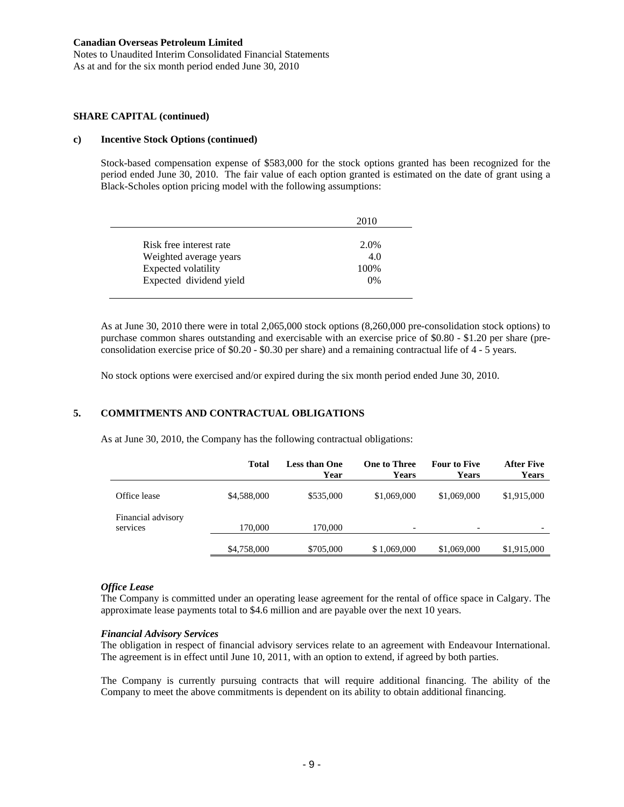Notes to Unaudited Interim Consolidated Financial Statements As at and for the six month period ended June 30, 2010

#### **SHARE CAPITAL (continued)**

#### **c) Incentive Stock Options (continued)**

Stock-based compensation expense of \$583,000 for the stock options granted has been recognized for the period ended June 30, 2010. The fair value of each option granted is estimated on the date of grant using a Black-Scholes option pricing model with the following assumptions:

|                         | 2010  |
|-------------------------|-------|
| Risk free interest rate | 2.0%  |
|                         |       |
| Weighted average years  | 4.0   |
| Expected volatility     | 100\% |
| Expected dividend yield | 0%    |

As at June 30, 2010 there were in total 2,065,000 stock options (8,260,000 pre-consolidation stock options) to purchase common shares outstanding and exercisable with an exercise price of \$0.80 - \$1.20 per share (preconsolidation exercise price of \$0.20 - \$0.30 per share) and a remaining contractual life of 4 - 5 years.

No stock options were exercised and/or expired during the six month period ended June 30, 2010.

### **5. COMMITMENTS AND CONTRACTUAL OBLIGATIONS**

As at June 30, 2010, the Company has the following contractual obligations:

|                                | <b>Total</b> | <b>Less than One</b><br>Year | <b>One to Three</b><br>Years | <b>Four to Five</b><br><b>Years</b> | <b>After Five</b><br>Years |
|--------------------------------|--------------|------------------------------|------------------------------|-------------------------------------|----------------------------|
| Office lease                   | \$4,588,000  | \$535,000                    | \$1,069,000                  | \$1,069,000                         | \$1,915,000                |
| Financial advisory<br>services | 170,000      | 170,000                      | ۰                            | $\overline{\phantom{a}}$            |                            |
|                                | \$4,758,000  | \$705,000                    | \$1,069,000                  | \$1,069,000                         | \$1,915,000                |

#### *Office Lease*

The Company is committed under an operating lease agreement for the rental of office space in Calgary. The approximate lease payments total to \$4.6 million and are payable over the next 10 years.

#### *Financial Advisory Services*

The obligation in respect of financial advisory services relate to an agreement with Endeavour International. The agreement is in effect until June 10, 2011, with an option to extend, if agreed by both parties.

The Company is currently pursuing contracts that will require additional financing. The ability of the Company to meet the above commitments is dependent on its ability to obtain additional financing.